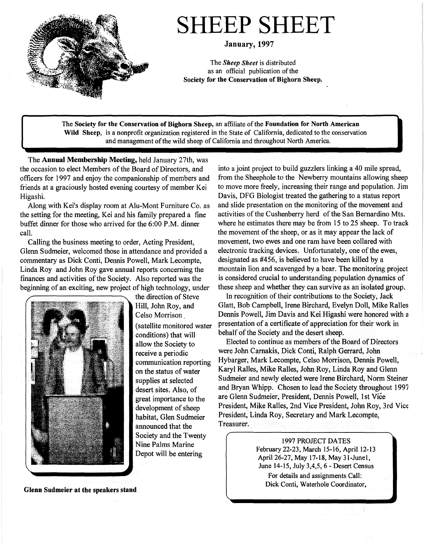

# SHEEP SHEET

January, 1997

The *Sheep Sheet* is distributed as an official publication of the **Society for the Conservation of Bighorn Sheep.** 

The **Society for the Conservation of Bighorn Sheep,** an affiliate of the **Foundation for North American Wild Sheep,** is a nonprofit organization registered in the State of California, dedicated to the conservation and management of the wild sheep of California and throughout North America.

The **Annual Membership Meeting,** held January 27th, was the occasion to elect Members of the Board of Directors, and officers for 1997 and enjoy the companionship of members and friends at a graciously hosted evening courtesy of member Kei Higashi.

Along with Kei's display room at Alu-Mont Furniture Co. as the setting for the meeting, Kei and his family prepared a fine buffet dinner for those who arrived for the 6:00 P.M. dinner call.

Calling the business meeting to order, Acting President, Glenn Sudmeier, welcomed those in attendance and provided a commentary as Dick Conti, Dennis Powell, Mark Lecompte, Linda Roy and John Roy gave annual reports concerning the finances and activities of the Society. Also reported was the beginning of an exciting, new project of high technology, under



the direction of Steve Hill, John Roy, and Celso Morrison (satellite monitored water conditions) that will allow the Society to receive a periodic communication reporting on the status of water supplies at selected desert sites. Also, of great importance to the development of sheep habitat, Glen Sudmeier announced that the Society and the Twenty Nine Palms Marine Depot will be entering

into a joint project to build guzzlers linking a 40 mile spread, from the Sheephole to the Newberry mountains allowing sheep to move more freely, increasing their range and population. Jim Davis, DFG Biologist treated the gathering to a status report and slide presentation on the monitoring of the movement and activities of the Cushenberry herd of the San Bernardino Mts. where he estimates there may be from 15 to 25 sheep. To track the movement of the sheep, or as it may appear the lack of movement, two ewes and one ram have been collared with electronic tracking devices. Unfortunately, one of the ewes, designated as #456, is believed to have been killed by a mountain lion and scavenged by a bear. The monitoring project is considered crucial to understanding population dynamics of these sheep and whether they can survive as an isolated group.

In recognition of their contributions to the Society, Jack Glatt, Bob Campbell, Irene Birchard, Evelyn Doll, Mike Ralles Dennis Powell, Jim Davis and Kei Higashi were honored with a presentation of a certificate of appreciation for their work in behalf of the Society and the desert sheep.

Elected to continue as members of the Board of Directors were John Carnakis, Dick Conti, Ralph Gerrard, John Hybarger, Mark Lecompte, Celso Morrison, Dennis Powell, Karyl Ralles, Mike Ralles, John Roy, Linda Roy and Glenn Sudmeier and newly elected were Irene Birchard, Norm Steiner and Bryan Whipp. Chosen to lead the Society throughout 1997 are Glenn Sudmeier, President, Dennis Powell, 1st Vice President, Mike Ralles, 2nd Vice President, John Roy, 3rd Vice President, Linda Roy, Secretary and Mark Lecompte, Treasurer.

> 1997 PROJECT DATES February 22-23, March 15-16, April 12-13 April 26-27, May 17-18, May 31-Junel, June 14-15, July 3,4,5, 6 - Desert Census For details and assignments Call: Dick Conti, Waterhole Coordinator,

**Glenn Sudmeier at the speakers stand**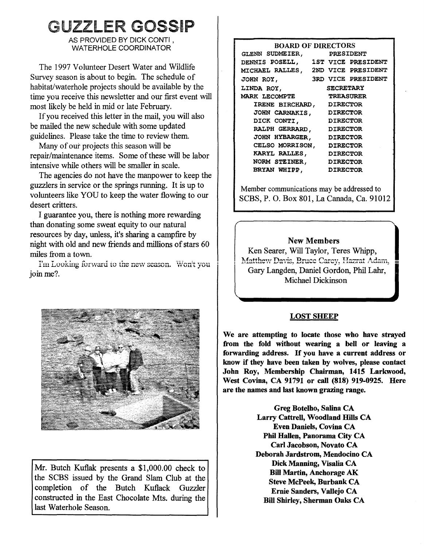## UZZLER GOSSIP

AS PROVIDED BY DICK CONTI. WATERHOLE COORDINATOR

The 1997 Volunteer Desert Water and Wildlife Survey season is about to begin. The schedule of habitat/waterhole projects should be available by the time you receive this newsletter and our first event will most likely be held in mid or late February.

If you received this letter in the mail, you will also be mailed the new schedule with some updated guidelines. Please take the time to review them.

Many of out projects this season will be repair/maintenance items. Some of these will be labor intensive while others will be smaller in scale.

The agencies do not have the manpower to keep the guzzlers in service or the springs running. It is up to volunteers like YOU to keep the water flowing to our desert critters.

I guarantee you, there is nothing more rewarding than donating some sweat equity to our natural resources by day, unless, it's sharing a campfire by night with old and new friends and millions of stars 60 miles from a town.<br>I'm Looking forward to the new season. Won't you

ioin me?.



Mr. Butch Kuflak presents a \$1,000.00 check to the SCBS issued by the Grand Slam Club at the completion of the Butch Kuflack Guzzler constructed in the East Chocolate Mts. during the last Waterhole Season.

| <b>BOARD OF DIRECTORS</b>         |  |                  |                           |
|-----------------------------------|--|------------------|---------------------------|
| GLENN SUDMEIER,                   |  | <b>PRESIDENT</b> |                           |
| DENNIS POSELL, 1ST VICE PRESIDENT |  |                  |                           |
| MICHAEL RALLES,                   |  |                  | 2ND VICE PRESIDENT        |
| JOHN ROY,                         |  |                  | <b>3RD VICE PRESIDENT</b> |
| LINDA ROY,                        |  | <b>SECRETARY</b> |                           |
| <b>MARK LECOMPTE</b>              |  | TREASURER        |                           |
| IRENE BIRCHARD, DIRECTOR          |  |                  |                           |
| JOHN CARNAKIS, DIRECTOR           |  |                  |                           |
| DICK CONTI,                       |  | <b>DIRECTOR</b>  |                           |
| RALPH GERRARD,                    |  | <b>DIRECTOR</b>  |                           |
| <b>JOHN HYBARGER,</b>             |  | <b>DIRECTOR</b>  |                           |
| CELSO MORRISON,                   |  | <b>DIRECTOR</b>  |                           |
| KARYL RALLES, DIRECTOR            |  |                  |                           |
| NORM STEINER, DIRECTOR            |  |                  |                           |
| BRYAN WHIPP,                      |  | <b>DIRECTOR</b>  |                           |

Member communications may be addressed to SCBS, P. 0. Box 801, La Canada, Ca. 91012

#### **New Members**

Ken Searer, Will Taylor, Teres Whipp,<br>Matthew Davis, Bruce Carey, Hazrat Adam, Gary Langden, Daniel Gordon, Phil Lahr, Michael Dickinson

#### **LOST SHEEP**

**We are attempting to locate those who have strayed from the fold without wearing a bell or leaving a forwarding address.** If **you have a current address or**  know if **they have been taken by wolves, please contact John Roy, Membership Chairman, 1415 Larkwood, West Covina, CA 91791 or call (818) 919-0925. Here are the names and last known grazing range.** 

> **Greg Botelho, Salina CA Larry Cattrell, Woodland Hills CA Even Daniels, Covina CA Phil Hallen, Panorama City CA Carl Jacobson, Novato CA Deborah Jardstrom, Mendocino CA Dick Manning, Visalia CA Bill Martin, Anchorage AK Steve McPeek, Burbank CA Ernie Sanders, Vallejo CA Bill Shirley, Sherman Oaks CA**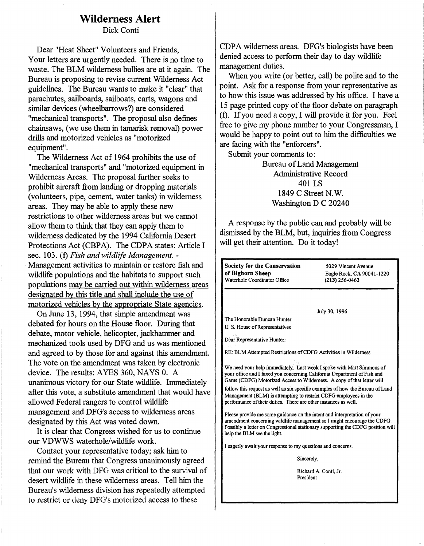### **Wilderness Alert**

Dick Conti

Dear "Heat Sheet" Volunteers and Friends,<br>Your letters are urgently needed. There is no time to waste. The BLM wilderness bullies are at it again. The Bureau is proposing to revise current Wilderness Act guidelines. The Bureau wants to make it "clear" that parachutes, sailboards, sailboats, carts, wagons and similar devices ( wheelbarrows?) are considered "mechanical transports". The proposal also defines chainsaws, (we use them in tamarisk removal) power drills and motorized vehicles as "motorized equipment".

The Wilderness Act of 1964 prohibits the use of "mechanical transports" and "motorized equipment in Wilderness Areas. The proposal further seeks to prohibit aircraft from landing or dropping materials (volunteers, pipe, cement, water tanks) in wilderness areas. They may be able to apply these new restrictions to other wilderness areas but we cannot allow them to think that they can apply them to wilderness dedicated by the 1994 California Desert Protections Act (CBPA). The CDPA states: Article I sec. 103. (f) *Fish and wildlife Management.* - Management activities to maintain or restore fish and wildlife populations and the habitats to support such populations may be carried out within wilderness areas designated by this title and shall include the use of motorized vehicles by the appropriate State agencies.

On June 13, 1994, that simple amendment was debated for hours on the House floor. During that debate, motor vehicle, helicopter, jackhammer and mechanized tools used by DFG and us was mentioned and agreed to by those for and against this amendment. The vote on the amendment was taken by electronic device. The results: AYES 360, NAYS 0. A unanimous victory for our State wildlife. Immediately after this vote, a substitute amendment that would have allowed Federal rangers to control wildlife management and DFG's access to wilderness areas designated by this Act was voted down.

It is clear that Congress wished for us to continue our VDWWS waterhole/wildlife work.

Contact your representative today; ask him to remind the Bureau that Congress unanimously agreed that our work with DFG was critical to the survival of desert wildlife in these wilderness areas. Tell him the Bureau's wilderness division has repeatedly attempted to restrict or deny DFG's motorized access to these

CDPA wilderness areas. DFG's biologists have been denied access to perform their day to day wildlife management duties.

When you write (or better, call) be polite and to the point. Ask for a response from your representative as to how this issue was addressed by his office. I have a 15 page printed copy of the floor debate on paragraph (f). If you need a copy, I will provide it for you. Feel free to give my phone number to your Congressman, I would be happy to point out to him the difficulties we are facing with the "enforcers".

Submit your comments to:

Bureau of Land Management Administrative Record 401 LS 1849 C Street N.W. Washington D C 20240

A response by the public can and probably will be dismissed by the BLM, but, inquiries from Congress will get their attention. Do it today!

**Society for the Conservation oi Bighorn Sheep**  Waterhole Coordinator Office 5029 Vincent Avenue Eagle Rock, **CA** 90041-1220 **(213)** 256-0463 July 30, 1996 The Honorable Duncan Hunter U. S. House of Representatives Dear Representative Hunter: RE: BLM Attempted Restrictions of CDFG Activities in Wilderness We need your help immediately. Last week I spoke with Matt Simmons of your office and I faxed you concerning California Department of Fish and Game (CDFG) Motorized Access to Wilderness. A copy of that letter will follow this request as well as six specific examples of how the Bureau of Land Management (BLM) is attempting to restrict CDFG employees in the performance of their duties. There are other instances as well. Please provide me some guidance on the intent and interpretation of your amendment concerning wildlife management so I might encourage the CDFG. Possibly a letter on Congressional stationary supporting the CDFG position will help the BLM see the light. I eagerly await your response to my questions and concerns. Sincerely, Richard A. Conti, Jr. President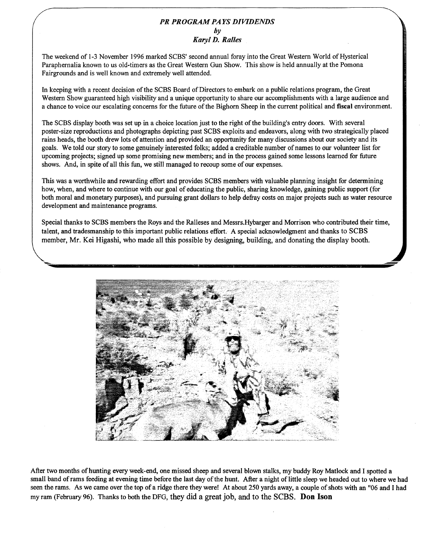#### *PR PROGRAM PAYS DIVIDENDS*   $b\nu$ *Karyl D. Railes*

The weekend of 1-3 November 1996 marked SCBS' second annual foray into the Great Western World of Hysterical Paraphernalia known to us old-timers as the Great Western Gun Show. This show is held annually at the Pomona Fairgrounds and is well known and extremely well attended.

In keeping with a recent decision of the SCBS Board of Directors to embark on a public relations program, the Great Western Show guaranteed high visibility and a unique opportunity to share our accomplishments with a large audience and a chance to voice our escalating concerns for the future of the Bighorn Sheep in the current political and **fiscal** environment.

The SCBS display booth was set up in a choice location just to the right of the building's entry doors. With several poster-size reproductions and photographs depicting past SCBS exploits and endeavors, along with two strategically placed rains heads, the booth drew lots of attention and provided an opportunity for many discussions about our society and its goals. We told our story to some genuinely interested folks; added a creditable number ofnames to our volunteer list for upcoming projects; signed up some promising new members; and in the process gained some lessons learned for future shows. And, in spite of all this fun, we still managed to recoup some of our expenses.

This was a worthwhile and rewarding effort and provides SCBS members with valuable planning insight for determining how, when, and where to continue with our goal of educating the public, sharing knowledge, gaining public support (for both moral and monetary purposes), and pursuing grant dollars to help defray costs on major projects such as water resource development and maintenance programs.

Special thanks to SCBS members the Roys and the Ralleses and Messrs.Hybarger and Morrison who contributed their time, talent, and tradesmanship to this important public relations effort. A special acknowledgment and thanks to SCBS member, Mr. Kei Higashi, who made all this possible by designing, building, and donating the display booth.



After two months of hunting every week-end, one missed sheep and several blown stalks, my buddy Roy Matlock and I spotted a small band of rams feeding at evening time before the last day of the hunt. After a night of little sleep we headed out to where we had seen the rams. As we came over the top of a ridge there they were! At about 250 yards away, a couple of shots with an "06 and I had my ram (February 96). Thanks to both the DFG, they did a great job, and to the SCBS. **Don Ison**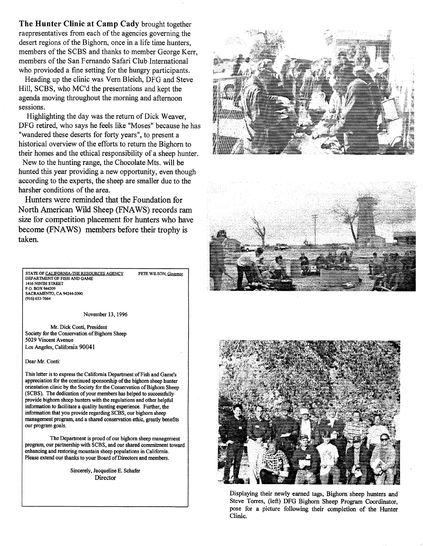**The Hunter Clinic at Camp Cady** brought together raepresentatives from each of the agencies governing the desert regions of the Bighorn, once in a life time hunters, members of the SCBS and thanks to member George Kerr, members of the San Fernando Safari Club International who provioded a fine setting for the hungry participants.

Heading up the clinic was Vern Bleich, DFG and Steve Hill, SCBS, who MC'd the presentations and kept the agenda moving throughout the morning and afternoon sessions.

Highlighting the day was the return of Dick Weaver, DFG retired, who says he feels like "Moses" because he has "wandered these deserts for forty years", to present a historical overview of the efforts to return the Bighorn to their homes and the ethical responsibility of a sheep hunter.

New to the hunting range, the Chocolate Mts. will be hunted this year providing a new opportunity, even though according to the experts, the sheep are smaller due to the harsher conditions of the area.

Hunters were reminded that the Foundation for North American Wild Sheep (FNAWS) records ram size for competition placement for hunters who have become (FNAWS) members before their trophy is taken.

STATE OF CALIFORNIA-THE RESOURCES AGENCY DEPAR1MENT OF FISH AND GAME 1416 NINTH STREET P.O. BOX944209 SACRAMENTO, CA 94244-2090 (916) 653-7664 PETE WILSON, *Govemor* 

November 13, 1996

Mr. Dick Conti, President Society for the Conservation of Bighorn Sheep 5029 Vincent Avenue Los Angeles, California 90041

Dear Mr. Conti:

This letter is to express the California Department of Fish and Game's appreciation for the continued sponsorship of the bighorn sheep hunter orientation clinic by the Society for the Conservation of Bighorn Sheep (SCBS). The dedication of your members has helped to successfully provide bighorn sheep hunters with the regulations and other helpful information to facilitate a quality hunting experience. Further, the infonnation that you provide regarding SCBS, our bighorn sheep management program, and a shared conservation ethic, greatly benefits our program goals.

The Department is proud of our bighorn sheep management program, our partnership with SCBS, and our shared commitment toward enhancing and restoring mountain sheep populations in California. Please extend our thanks to your Board of Directors and members.

> Sincerely, Jacqueline E. Schafer **Director**







Displaying their newly earned tags, Bighorn sheep hunters and Steve Torres, (left) DFG Bighorn Sheep Program Coordinator, pose for a picture following their completion of the Hunter Clinic.